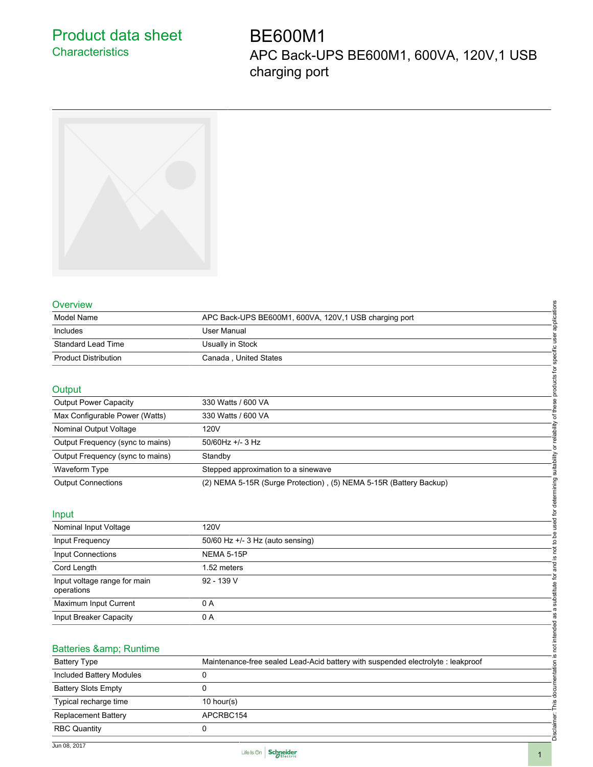# Product data sheet **Characteristics**

# BE600M1 APC Back-UPS BE600M1, 600VA, 120V,1 USB charging port



#### **Overview**

| Overview                    |                                                        | S |
|-----------------------------|--------------------------------------------------------|---|
| Model Name                  | APC Back-UPS BE600M1, 600VA, 120V, 1 USB charging port |   |
| Includes                    | User Manual                                            |   |
| Standard Lead Time          | Usually in Stock                                       |   |
| <b>Product Distribution</b> | Canada, United States                                  |   |

#### Output

| Overview                                   |                                                                                  |                                            |
|--------------------------------------------|----------------------------------------------------------------------------------|--------------------------------------------|
| Model Name                                 | APC Back-UPS BE600M1, 600VA, 120V,1 USB charging port                            |                                            |
| Includes                                   | <b>User Manual</b>                                                               |                                            |
| <b>Standard Lead Time</b>                  | Usually in Stock                                                                 |                                            |
| <b>Product Distribution</b>                | Canada, United States                                                            | specific user applications                 |
| Output                                     |                                                                                  | products for                               |
| <b>Output Power Capacity</b>               | 330 Watts / 600 VA                                                               |                                            |
| Max Configurable Power (Watts)             | 330 Watts / 600 VA                                                               | or reliability of these                    |
| Nominal Output Voltage                     | 120V                                                                             |                                            |
| Output Frequency (sync to mains)           | $50/60$ Hz +/- 3 Hz                                                              |                                            |
| Output Frequency (sync to mains)           | Standby                                                                          |                                            |
| Waveform Type                              | Stepped approximation to a sinewave                                              |                                            |
| <b>Output Connections</b>                  |                                                                                  |                                            |
|                                            | (2) NEMA 5-15R (Surge Protection), (5) NEMA 5-15R (Battery Backup)               |                                            |
|                                            |                                                                                  |                                            |
| Input                                      |                                                                                  |                                            |
| Nominal Input Voltage                      | 120V                                                                             | not to be used for determining suitability |
| Input Frequency                            | 50/60 Hz +/- 3 Hz (auto sensing)                                                 |                                            |
| <b>Input Connections</b>                   | <b>NEMA 5-15P</b>                                                                | <u>.ഗ</u>                                  |
| Cord Length                                | 1.52 meters                                                                      |                                            |
| Input voltage range for main<br>operations | 92 - 139 V                                                                       | a substitute for and                       |
| Maximum Input Current                      | 0 A                                                                              |                                            |
| Input Breaker Capacity                     | 0 A                                                                              |                                            |
|                                            |                                                                                  |                                            |
| Batteries & Runtime                        |                                                                                  | not intended as                            |
| <b>Battery Type</b>                        | Maintenance-free sealed Lead-Acid battery with suspended electrolyte : leakproof | . <u>ഗ</u>                                 |
| Included Battery Modules                   | 0                                                                                |                                            |
| <b>Battery Slots Empty</b>                 | 0                                                                                | Disclaimer: This documentation             |
| Typical recharge time                      | $10$ hour(s)                                                                     |                                            |
| <b>Replacement Battery</b>                 | APCRBC154                                                                        |                                            |
| <b>RBC Quantity</b>                        | $\Omega$                                                                         |                                            |
|                                            |                                                                                  |                                            |

#### Input

|                                            |                                                                                  | determi             |
|--------------------------------------------|----------------------------------------------------------------------------------|---------------------|
| Input                                      |                                                                                  | ِ أَي<br>τ          |
| Nominal Input Voltage                      | 120V                                                                             |                     |
| Input Frequency                            | 50/60 Hz +/- 3 Hz (auto sensing)                                                 | ه<br>$\overline{c}$ |
| <b>Input Connections</b>                   | <b>NEMA 5-15P</b>                                                                | pot<br>S            |
| Cord Length                                | 1.52 meters                                                                      |                     |
| Input voltage range for main<br>operations | 92 - 139 V                                                                       | ₽<br>substitute     |
| Maximum Input Current                      | 0 A                                                                              |                     |
| Input Breaker Capacity                     | 0 A                                                                              | $\omega$<br>σ       |
| Batteries & Runtime                        |                                                                                  | not intended        |
| <b>Battery Type</b>                        | Maintenance-free sealed Lead-Acid battery with suspended electrolyte : leakproof | tion                |
| Included Battery Modules                   | 0                                                                                | 亙                   |
| <b>Battery Slots Empty</b>                 | 0                                                                                |                     |
| Typical recharge time                      | $10$ hour(s)                                                                     |                     |
| <b>Replacement Battery</b>                 | APCRBC154                                                                        |                     |
| <b>RBC Quantity</b>                        | 0                                                                                | Disclair            |

#### Batteries & amp; Runtime

| <b>Battery Type</b>        | Maintenance-free sealed Lead-Acid battery with suspended electrolyte : leakproof |
|----------------------------|----------------------------------------------------------------------------------|
| Included Battery Modules   |                                                                                  |
| <b>Battery Slots Empty</b> |                                                                                  |
| Typical recharge time      | 10 hour(s)                                                                       |
| <b>Replacement Battery</b> | APCRBC154                                                                        |
| <b>RBC Quantity</b>        |                                                                                  |